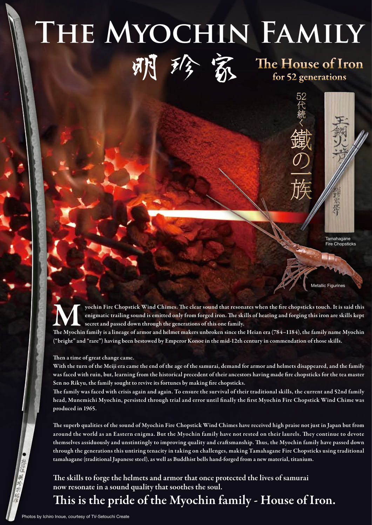## **那梦 系** The House of Iron **The Myochin Family**



52代続く

**の一族**<br>
Figurines<br>
Fire Chop<br>
Metallic Figurines

**Tamahagane** Fire Chopsticks

yochin Fire Chopstick Wind Chimes. The clear sound that resonates when the fire chopsticks touch. It is said this enigmatic trailing sound is emitted only from forged iron. The skills of heating and forging this iron are skills kept secret and passed down through the generations of this one family. yochin Fire Chopstick Wind Chimes. The clear sound that resonates when the fire chopsticks touch. It is said this<br>enigmatic trailing sound is emitted only from forged iron. The skills of heating and forging this iron are s

("bright" and "rare") having been bestowed by Emperor Konoe in the mid-12th century in commendation of those skills.

Then a time of great change came.

With the turn of the Meiji era came the end of the age of the samurai, demand for armor and helmets disappeared, and the family was faced with ruin, but, learning from the historical precedent of their ancestors having made fire chopsticks for the tea master Sen no Rikyu, the family sought to revive its fortunes by making fire chopsticks.

e family was faced with crisis again and again. To ensure the survival of their traditional skills, the current and 52nd family head, Munemichi Myochin, persisted through trial and error until finally the first Myochin Fire Chopstick Wind Chime was produced in 1965.

The superb qualities of the sound of Myochin Fire Chopstick Wind Chimes have received high praise not just in Japan but from around the world as an Eastern enigma. But the Myochin family have not rested on their laurels. They continue to devote themselves assiduously and unstintingly to improving quality and craftsmanship. Thus, the Myochin family have passed down through the generations this untiring tenacity in taking on challenges, making Tamahagane Fire Chopsticks using traditional tamahagane (traditional Japanese steel), as well as Buddhist bells hand-forged from a new material, titanium.

The skills to forge the helmets and armor that once protected the lives of samurai now resonate in a sound quality that soothes the soul.

This is the pride of the Myochin family - House of Iron.